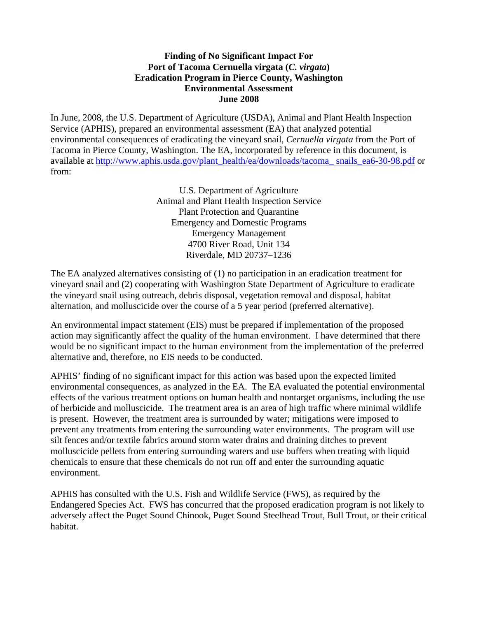## **Finding of No Significant Impact For Port of Tacoma Cernuella virgata (***C. virgata***) Eradication Program in Pierce County, Washington Environmental Assessment June 2008**

In June, 2008, the U.S. Department of Agriculture (USDA), Animal and Plant Health Inspection Service (APHIS), prepared an environmental assessment (EA) that analyzed potential environmental consequences of eradicating the vineyard snail, *Cernuella virgata* from the Port of Tacoma in Pierce County, Washington. The EA, incorporated by reference in this document, is available at http://www.aphis.usda.gov/plant\_health/ea/downloads/tacoma\_ snails\_ea6-30-98.pdf or from:

> U.S. Department of Agriculture Animal and Plant Health Inspection Service Plant Protection and Quarantine Emergency and Domestic Programs Emergency Management 4700 River Road, Unit 134 Riverdale, MD 20737–1236

The EA analyzed alternatives consisting of (1) no participation in an eradication treatment for vineyard snail and (2) cooperating with Washington State Department of Agriculture to eradicate the vineyard snail using outreach, debris disposal, vegetation removal and disposal, habitat alternation, and molluscicide over the course of a 5 year period (preferred alternative).

An environmental impact statement (EIS) must be prepared if implementation of the proposed action may significantly affect the quality of the human environment. I have determined that there would be no significant impact to the human environment from the implementation of the preferred alternative and, therefore, no EIS needs to be conducted.

APHIS' finding of no significant impact for this action was based upon the expected limited environmental consequences, as analyzed in the EA. The EA evaluated the potential environmental effects of the various treatment options on human health and nontarget organisms, including the use of herbicide and molluscicide. The treatment area is an area of high traffic where minimal wildlife is present. However, the treatment area is surrounded by water; mitigations were imposed to prevent any treatments from entering the surrounding water environments. The program will use silt fences and/or textile fabrics around storm water drains and draining ditches to prevent molluscicide pellets from entering surrounding waters and use buffers when treating with liquid chemicals to ensure that these chemicals do not run off and enter the surrounding aquatic environment.

APHIS has consulted with the U.S. Fish and Wildlife Service (FWS), as required by the Endangered Species Act. FWS has concurred that the proposed eradication program is not likely to adversely affect the Puget Sound Chinook, Puget Sound Steelhead Trout, Bull Trout, or their critical habitat.